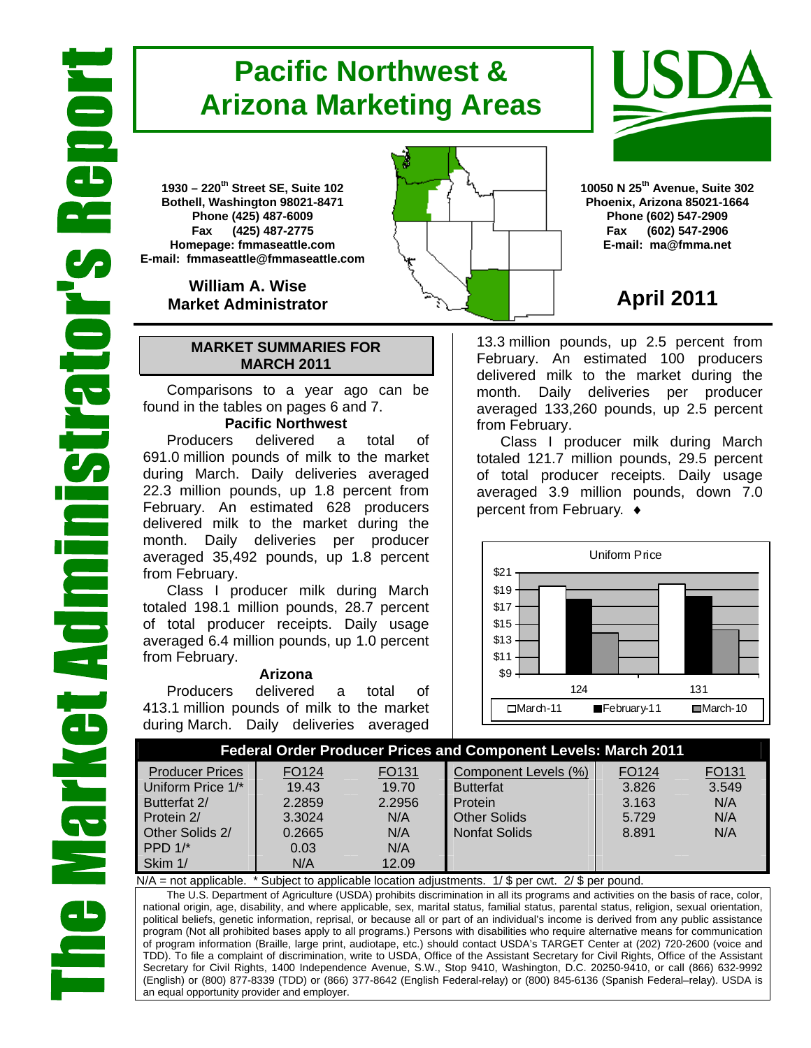# **Pacific Northwest & Arizona Marketing Areas**

**1930 – 220th Street SE, Suite 102 Bothell, Washington 98021-8471 Phone (425) 487-6009 Fax (425) 487-2775 Homepage: fmmaseattle.com E-mail: fmmaseattle@fmmaseattle.com**

> **William A. Wise Market Administrator**

### **MARKET SUMMARIES FOR MARCH 2011**

 Comparisons to a year ago can be found in the tables on pages 6 and 7.

### **Pacific Northwest**

Producers delivered a total of 691.0 million pounds of milk to the market during March. Daily deliveries averaged 22.3 million pounds, up 1.8 percent from February. An estimated 628 producers delivered milk to the market during the month. Daily deliveries per producer averaged 35,492 pounds, up 1.8 percent from February.

Class I producer milk during March totaled 198.1 million pounds, 28.7 percent of total producer receipts. Daily usage averaged 6.4 million pounds, up 1.0 percent from February.

#### **Arizona**

Producers delivered a total of 413.1 million pounds of milk to the market during March. Daily deliveries averaged **10050 N 25th Avenue, Suite 302 Phoenix, Arizona 85021-1664 Phone (602) 547-2909 Fax (602) 547-2906 E-mail: ma@fmma.net**

## **April 2011**

13.3 million pounds, up 2.5 percent from February. An estimated 100 producers delivered milk to the market during the month. Daily deliveries per producer averaged 133,260 pounds, up 2.5 percent from February.

Class I producer milk during March totaled 121.7 million pounds, 29.5 percent of total producer receipts. Daily usage averaged 3.9 million pounds, down 7.0 percent from February. ♦



# **Federal Order Producer Prices and Component Levels: March 2011**

| <b>Producer Prices</b> | FO <sub>124</sub> | FO <sub>131</sub> | Component Levels (%) | FO <sub>124</sub> | FO131 |
|------------------------|-------------------|-------------------|----------------------|-------------------|-------|
| Uniform Price 1/*      | 19.43             | 19.70             | <b>Butterfat</b>     | 3.826             | 3.549 |
| Butterfat 2/           | 2.2859            | 2.2956            | Protein              | 3.163             | N/A   |
| Protein 2/             | 3.3024            | N/A               | Other Solids         | 5.729             | N/A   |
| Other Solids 2/        | 0.2665            | N/A               | Nonfat Solids        | 8.891             | N/A   |
| PPD $1$ <sup>*</sup>   | 0.03              | N/A               |                      |                   |       |
| Skim 1/                | N/A               | 12.09             |                      |                   |       |

N/A = not applicable. \* Subject to applicable location adjustments. 1/ \$ per cwt. 2/ \$ per pound.

The U.S. Department of Agriculture (USDA) prohibits discrimination in all its programs and activities on the basis of race, color, national origin, age, disability, and where applicable, sex, marital status, familial status, parental status, religion, sexual orientation, political beliefs, genetic information, reprisal, or because all or part of an individual's income is derived from any public assistance program (Not all prohibited bases apply to all programs.) Persons with disabilities who require alternative means for communication of program information (Braille, large print, audiotape, etc.) should contact USDA's TARGET Center at (202) 720-2600 (voice and TDD). To file a complaint of discrimination, write to USDA, Office of the Assistant Secretary for Civil Rights, Office of the Assistant Secretary for Civil Rights, 1400 Independence Avenue, S.W., Stop 9410, Washington, D.C. 20250-9410, or call (866) 632-9992 (English) or (800) 877-8339 (TDD) or (866) 377-8642 (English Federal-relay) or (800) 845-6136 (Spanish Federal–relay). USDA is an equal opportunity provider and employer.



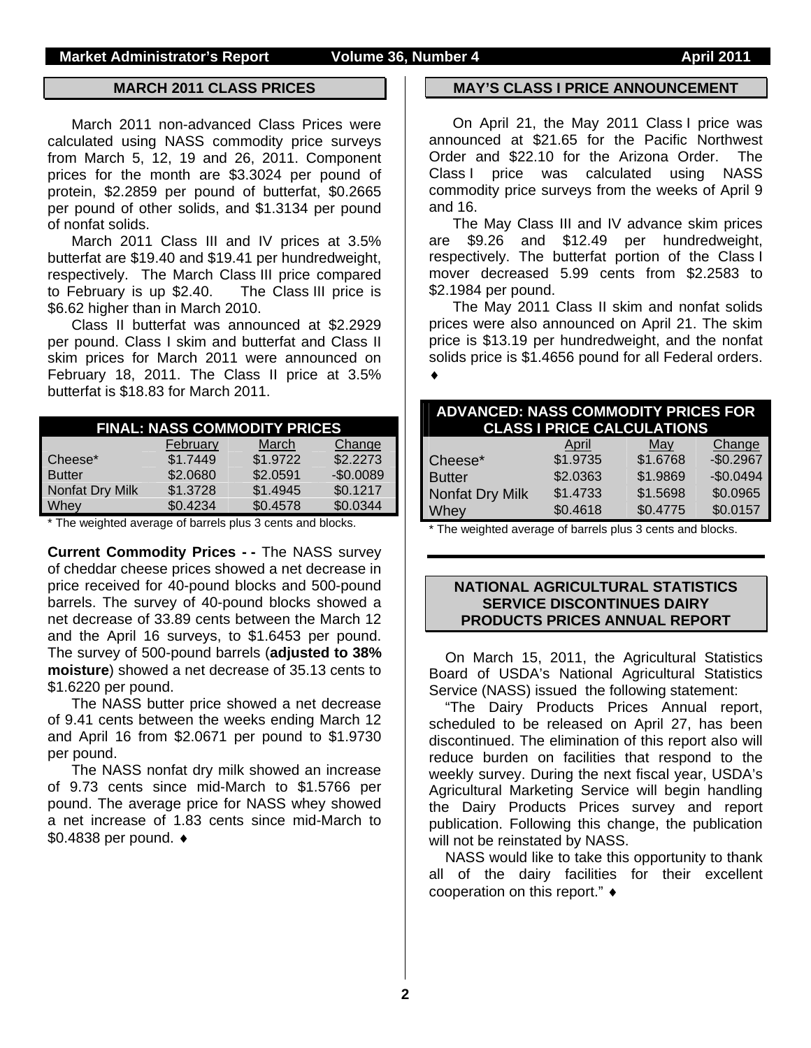### **MARCH 2011 CLASS PRICES**

March 2011 non-advanced Class Prices were calculated using NASS commodity price surveys from March 5, 12, 19 and 26, 2011. Component prices for the month are \$3.3024 per pound of protein, \$2.2859 per pound of butterfat, \$0.2665 per pound of other solids, and \$1.3134 per pound of nonfat solids.

March 2011 Class III and IV prices at 3.5% butterfat are \$19.40 and \$19.41 per hundredweight, respectively. The March Class III price compared to February is up \$2.40. The Class III price is \$6.62 higher than in March 2010.

Class II butterfat was announced at \$2.2929 per pound. Class I skim and butterfat and Class II skim prices for March 2011 were announced on February 18, 2011. The Class II price at 3.5% butterfat is \$18.83 for March 2011.

| <b>FINAL: NASS COMMODITY PRICES</b> |          |          |            |  |  |  |  |  |
|-------------------------------------|----------|----------|------------|--|--|--|--|--|
|                                     | February | March    | Change     |  |  |  |  |  |
| Cheese*                             | \$1.7449 | \$1.9722 | \$2.2273   |  |  |  |  |  |
| <b>Butter</b>                       | \$2.0680 | \$2.0591 | $-$0.0089$ |  |  |  |  |  |
| Nonfat Dry Milk                     | \$1.3728 | \$1.4945 | \$0.1217   |  |  |  |  |  |
| Whey                                | \$0.4234 | \$0.4578 | \$0.0344   |  |  |  |  |  |

\* The weighted average of barrels plus 3 cents and blocks.

**Current Commodity Prices - -** The NASS survey of cheddar cheese prices showed a net decrease in price received for 40-pound blocks and 500-pound barrels. The survey of 40-pound blocks showed a net decrease of 33.89 cents between the March 12 and the April 16 surveys, to \$1.6453 per pound. The survey of 500-pound barrels (**adjusted to 38% moisture**) showed a net decrease of 35.13 cents to \$1.6220 per pound.

The NASS butter price showed a net decrease of 9.41 cents between the weeks ending March 12 and April 16 from \$2.0671 per pound to \$1.9730 per pound.

The NASS nonfat dry milk showed an increase of 9.73 cents since mid-March to \$1.5766 per pound. The average price for NASS whey showed a net increase of 1.83 cents since mid-March to \$0.4838 per pound. ♦

#### **MAY'S CLASS I PRICE ANNOUNCEMENT**

On April 21, the May 2011 Class I price was announced at \$21.65 for the Pacific Northwest Order and \$22.10 for the Arizona Order. The Class I price was calculated using NASS commodity price surveys from the weeks of April 9 and 16.

The May Class III and IV advance skim prices are \$9.26 and \$12.49 per hundredweight, respectively. The butterfat portion of the Class I mover decreased 5.99 cents from \$2.2583 to \$2.1984 per pound.

The May 2011 Class II skim and nonfat solids prices were also announced on April 21. The skim price is \$13.19 per hundredweight, and the nonfat solids price is \$1.4656 pound for all Federal orders.

♦

| <b>ADVANCED: NASS COMMODITY PRICES FOR</b> |          | <b>CLASS I PRICE CALCULATIONS</b>  |            |
|--------------------------------------------|----------|------------------------------------|------------|
|                                            | April    | May                                | Change     |
| Cheese*                                    | \$1.9735 | \$1.6768                           | $-$0.2967$ |
| <b>Butter</b>                              | \$2.0363 | \$1.9869                           | $-$0.0494$ |
| Nonfat Dry Milk                            | \$1.4733 | \$1.5698                           | \$0.0965   |
| Whey                                       | \$0.4618 | \$0.4775                           | \$0.0157   |
| .<br>. <del>.</del> .                      | .        | $\sim$ $\sim$ $\sim$ $\sim$ $\sim$ |            |

\* The weighted average of barrels plus 3 cents and blocks.

#### **NATIONAL AGRICULTURAL STATISTICS SERVICE DISCONTINUES DAIRY PRODUCTS PRICES ANNUAL REPORT**

On March 15, 2011, the Agricultural Statistics Board of USDA's National Agricultural Statistics Service (NASS) issued the following statement:

"The Dairy Products Prices Annual report, scheduled to be released on April 27, has been discontinued. The elimination of this report also will reduce burden on facilities that respond to the weekly survey. During the next fiscal year, USDA's Agricultural Marketing Service will begin handling the Dairy Products Prices survey and report publication. Following this change, the publication will not be reinstated by NASS.

NASS would like to take this opportunity to thank all of the dairy facilities for their excellent cooperation on this report." ♦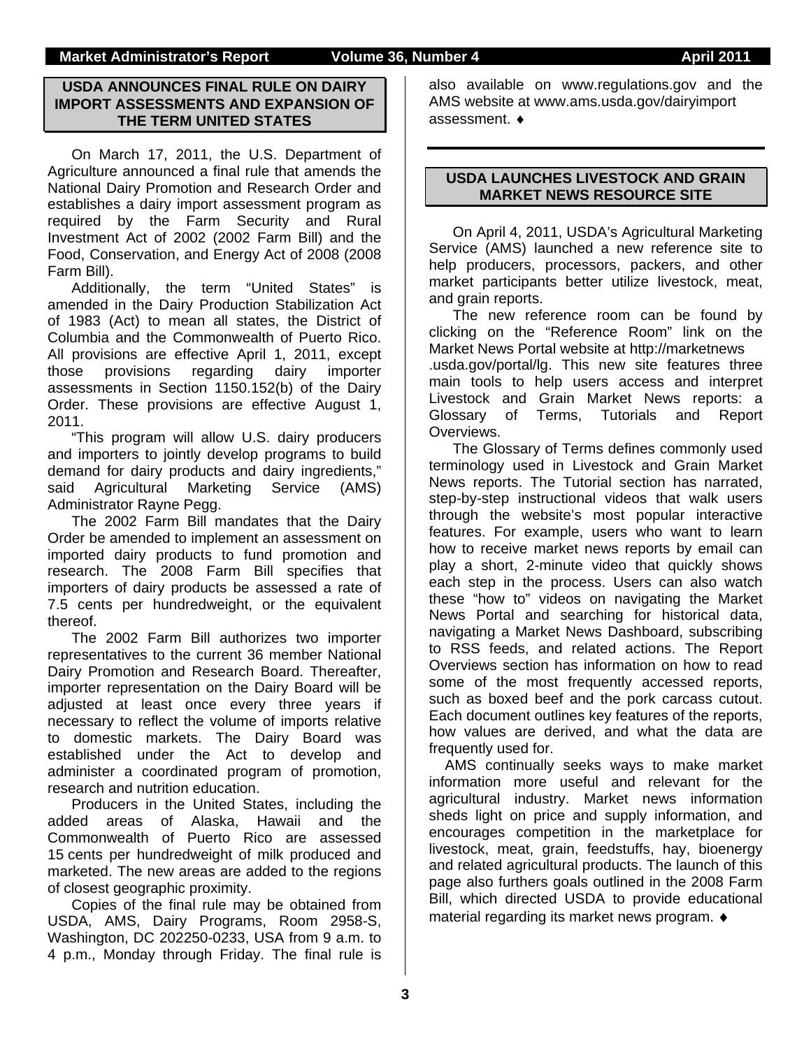### **USDA ANNOUNCES FINAL RULE ON DAIRY IMPORT ASSESSMENTS AND EXPANSION OF THE TERM UNITED STATES**

On March 17, 2011, the U.S. Department of Agriculture announced a final rule that amends the National Dairy Promotion and Research Order and establishes a dairy import assessment program as required by the Farm Security and Rural Investment Act of 2002 (2002 Farm Bill) and the Food, Conservation, and Energy Act of 2008 (2008 Farm Bill).

Additionally, the term "United States" is amended in the Dairy Production Stabilization Act of 1983 (Act) to mean all states, the District of Columbia and the Commonwealth of Puerto Rico. All provisions are effective April 1, 2011, except those provisions regarding dairy importer assessments in Section 1150.152(b) of the Dairy Order. These provisions are effective August 1, 2011.

"This program will allow U.S. dairy producers and importers to jointly develop programs to build demand for dairy products and dairy ingredients," said Agricultural Marketing Service (AMS) Administrator Rayne Pegg.

The 2002 Farm Bill mandates that the Dairy Order be amended to implement an assessment on imported dairy products to fund promotion and research. The 2008 Farm Bill specifies that importers of dairy products be assessed a rate of 7.5 cents per hundredweight, or the equivalent thereof.

The 2002 Farm Bill authorizes two importer representatives to the current 36 member National Dairy Promotion and Research Board. Thereafter, importer representation on the Dairy Board will be adjusted at least once every three years if necessary to reflect the volume of imports relative to domestic markets. The Dairy Board was established under the Act to develop and administer a coordinated program of promotion, research and nutrition education.

Producers in the United States, including the added areas of Alaska, Hawaii and the Commonwealth of Puerto Rico are assessed 15 cents per hundredweight of milk produced and marketed. The new areas are added to the regions of closest geographic proximity.

Copies of the final rule may be obtained from USDA, AMS, Dairy Programs, Room 2958-S, Washington, DC 202250-0233, USA from 9 a.m. to 4 p.m., Monday through Friday. The final rule is

also available on www.regulations.gov and the AMS website at www.ams.usda.gov/dairyimport assessment. ♦

### **USDA LAUNCHES LIVESTOCK AND GRAIN MARKET NEWS RESOURCE SITE**

On April 4, 2011, USDA's Agricultural Marketing Service (AMS) launched a new reference site to help producers, processors, packers, and other market participants better utilize livestock, meat, and grain reports.

The new reference room can be found by clicking on the "Reference Room" link on the Market News Portal website at http://marketnews .usda.gov/portal/lg. This new site features three main tools to help users access and interpret Livestock and Grain Market News reports: a Glossary of Terms, Tutorials and Report Overviews.

The Glossary of Terms defines commonly used terminology used in Livestock and Grain Market News reports. The Tutorial section has narrated, step-by-step instructional videos that walk users through the website's most popular interactive features. For example, users who want to learn how to receive market news reports by email can play a short, 2-minute video that quickly shows each step in the process. Users can also watch these "how to" videos on navigating the Market News Portal and searching for historical data, navigating a Market News Dashboard, subscribing to RSS feeds, and related actions. The Report Overviews section has information on how to read some of the most frequently accessed reports, such as boxed beef and the pork carcass cutout. Each document outlines key features of the reports, how values are derived, and what the data are frequently used for.

AMS continually seeks ways to make market information more useful and relevant for the agricultural industry. Market news information sheds light on price and supply information, and encourages competition in the marketplace for livestock, meat, grain, feedstuffs, hay, bioenergy and related agricultural products. The launch of this page also furthers goals outlined in the 2008 Farm Bill, which directed USDA to provide educational material regarding its market news program. ♦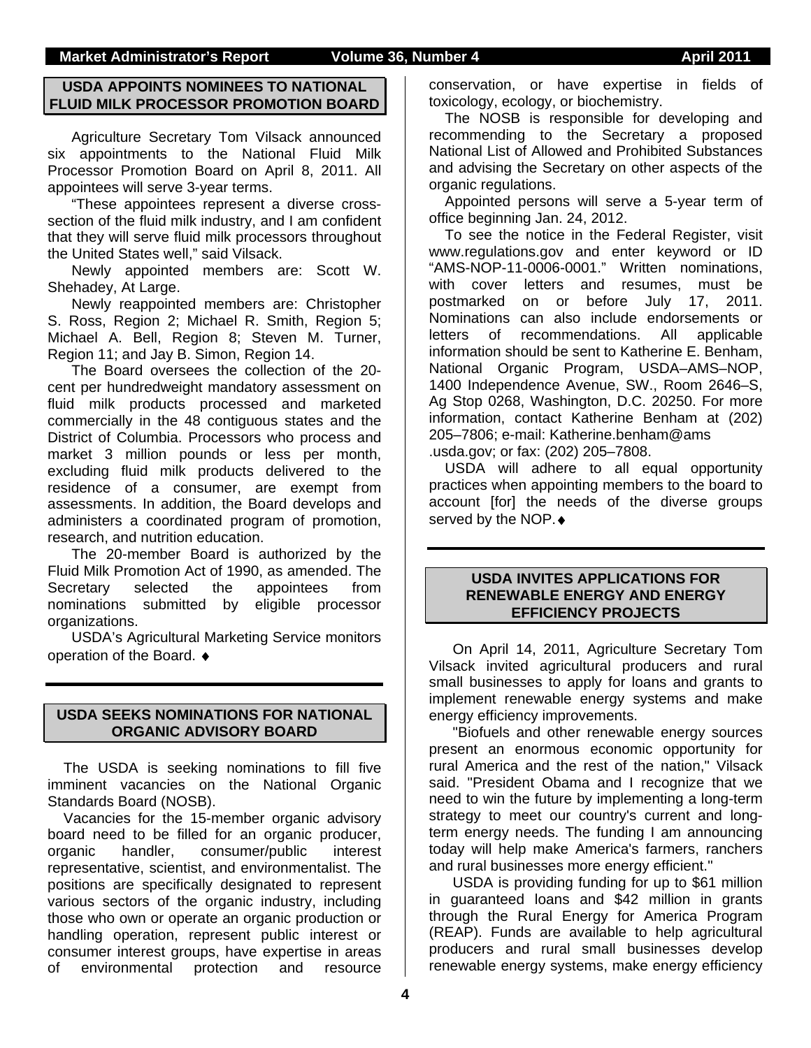#### **Market Administrator's Report Volume 36, Number 4 April 2011**

### **USDA APPOINTS NOMINEES TO NATIONAL FLUID MILK PROCESSOR PROMOTION BOARD**

Agriculture Secretary Tom Vilsack announced six appointments to the National Fluid Milk Processor Promotion Board on April 8, 2011. All appointees will serve 3-year terms.

"These appointees represent a diverse crosssection of the fluid milk industry, and I am confident that they will serve fluid milk processors throughout the United States well," said Vilsack.

Newly appointed members are: Scott W. Shehadey, At Large.

Newly reappointed members are: Christopher S. Ross, Region 2; Michael R. Smith, Region 5; Michael A. Bell, Region 8; Steven M. Turner, Region 11; and Jay B. Simon, Region 14.

The Board oversees the collection of the 20 cent per hundredweight mandatory assessment on fluid milk products processed and marketed commercially in the 48 contiguous states and the District of Columbia. Processors who process and market 3 million pounds or less per month, excluding fluid milk products delivered to the residence of a consumer, are exempt from assessments. In addition, the Board develops and administers a coordinated program of promotion, research, and nutrition education.

The 20-member Board is authorized by the Fluid Milk Promotion Act of 1990, as amended. The Secretary selected the appointees from nominations submitted by eligible processor organizations.

USDA's Agricultural Marketing Service monitors operation of the Board. ♦

### **USDA SEEKS NOMINATIONS FOR NATIONAL ORGANIC ADVISORY BOARD**

The USDA is seeking nominations to fill five imminent vacancies on the National Organic Standards Board (NOSB).

Vacancies for the 15-member organic advisory board need to be filled for an organic producer, organic handler, consumer/public interest representative, scientist, and environmentalist. The positions are specifically designated to represent various sectors of the organic industry, including those who own or operate an organic production or handling operation, represent public interest or consumer interest groups, have expertise in areas of environmental protection and resource

conservation, or have expertise in fields of toxicology, ecology, or biochemistry.

The NOSB is responsible for developing and recommending to the Secretary a proposed National List of Allowed and Prohibited Substances and advising the Secretary on other aspects of the organic regulations.

Appointed persons will serve a 5-year term of office beginning Jan. 24, 2012.

To see the notice in the Federal Register, visit www.regulations.gov and enter keyword or ID "AMS-NOP-11-0006-0001." Written nominations, with cover letters and resumes, must be postmarked on or before July 17, 2011. Nominations can also include endorsements or letters of recommendations. All applicable information should be sent to Katherine E. Benham, National Organic Program, USDA–AMS–NOP, 1400 Independence Avenue, SW., Room 2646–S, Ag Stop 0268, Washington, D.C. 20250. For more information, contact Katherine Benham at (202) 205–7806; e-mail: Katherine.benham@ams .usda.gov; or fax: (202) 205–7808.

USDA will adhere to all equal opportunity practices when appointing members to the board to account [for] the needs of the diverse groups served by the NOP.♦

#### **USDA INVITES APPLICATIONS FOR RENEWABLE ENERGY AND ENERGY EFFICIENCY PROJECTS**

On April 14, 2011, Agriculture Secretary Tom Vilsack invited agricultural producers and rural small businesses to apply for loans and grants to implement renewable energy systems and make energy efficiency improvements.

"Biofuels and other renewable energy sources present an enormous economic opportunity for rural America and the rest of the nation," Vilsack said. "President Obama and I recognize that we need to win the future by implementing a long-term strategy to meet our country's current and longterm energy needs. The funding I am announcing today will help make America's farmers, ranchers and rural businesses more energy efficient."

USDA is providing funding for up to \$61 million in guaranteed loans and \$42 million in grants through the Rural Energy for America Program (REAP). Funds are available to help agricultural producers and rural small businesses develop renewable energy systems, make energy efficiency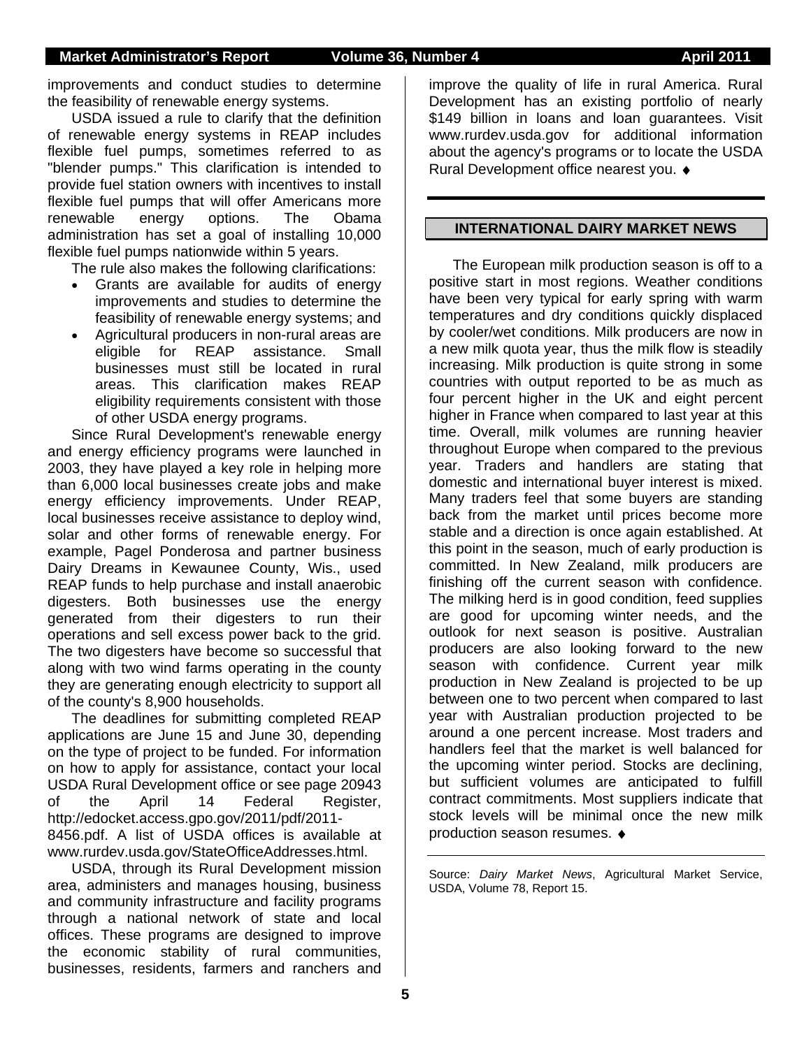improvements and conduct studies to determine the feasibility of renewable energy systems.

USDA issued a rule to clarify that the definition of renewable energy systems in REAP includes flexible fuel pumps, sometimes referred to as "blender pumps." This clarification is intended to provide fuel station owners with incentives to install flexible fuel pumps that will offer Americans more renewable energy options. The Obama administration has set a goal of installing 10,000 flexible fuel pumps nationwide within 5 years.

The rule also makes the following clarifications:

- Grants are available for audits of energy improvements and studies to determine the feasibility of renewable energy systems; and
- Agricultural producers in non-rural areas are eligible for REAP assistance. Small businesses must still be located in rural areas. This clarification makes REAP eligibility requirements consistent with those of other USDA energy programs.

Since Rural Development's renewable energy and energy efficiency programs were launched in 2003, they have played a key role in helping more than 6,000 local businesses create jobs and make energy efficiency improvements. Under REAP, local businesses receive assistance to deploy wind, solar and other forms of renewable energy. For example, Pagel Ponderosa and partner business Dairy Dreams in Kewaunee County, Wis., used REAP funds to help purchase and install anaerobic digesters. Both businesses use the energy generated from their digesters to run their operations and sell excess power back to the grid. The two digesters have become so successful that along with two wind farms operating in the county they are generating enough electricity to support all of the county's 8,900 households.

The deadlines for submitting completed REAP applications are June 15 and June 30, depending on the type of project to be funded. For information on how to apply for assistance, contact your local USDA Rural Development office or see page 20943 of the April 14 Federal Register, http://edocket.access.gpo.gov/2011/pdf/2011- 8456.pdf. A list of USDA offices is available at www.rurdev.usda.gov/StateOfficeAddresses.html.

USDA, through its Rural Development mission area, administers and manages housing, business and community infrastructure and facility programs through a national network of state and local offices. These programs are designed to improve the economic stability of rural communities, businesses, residents, farmers and ranchers and

improve the quality of life in rural America. Rural Development has an existing portfolio of nearly \$149 billion in loans and loan guarantees. Visit www.rurdev.usda.gov for additional information about the agency's programs or to locate the USDA Rural Development office nearest you. ♦

#### **INTERNATIONAL DAIRY MARKET NEWS**

The European milk production season is off to a positive start in most regions. Weather conditions have been very typical for early spring with warm temperatures and dry conditions quickly displaced by cooler/wet conditions. Milk producers are now in a new milk quota year, thus the milk flow is steadily increasing. Milk production is quite strong in some countries with output reported to be as much as four percent higher in the UK and eight percent higher in France when compared to last year at this time. Overall, milk volumes are running heavier throughout Europe when compared to the previous year. Traders and handlers are stating that domestic and international buyer interest is mixed. Many traders feel that some buyers are standing back from the market until prices become more stable and a direction is once again established. At this point in the season, much of early production is committed. In New Zealand, milk producers are finishing off the current season with confidence. The milking herd is in good condition, feed supplies are good for upcoming winter needs, and the outlook for next season is positive. Australian producers are also looking forward to the new season with confidence. Current year milk production in New Zealand is projected to be up between one to two percent when compared to last year with Australian production projected to be around a one percent increase. Most traders and handlers feel that the market is well balanced for the upcoming winter period. Stocks are declining, but sufficient volumes are anticipated to fulfill contract commitments. Most suppliers indicate that stock levels will be minimal once the new milk production season resumes. ♦

Source: *Dairy Market News*, Agricultural Market Service, USDA, Volume 78, Report 15.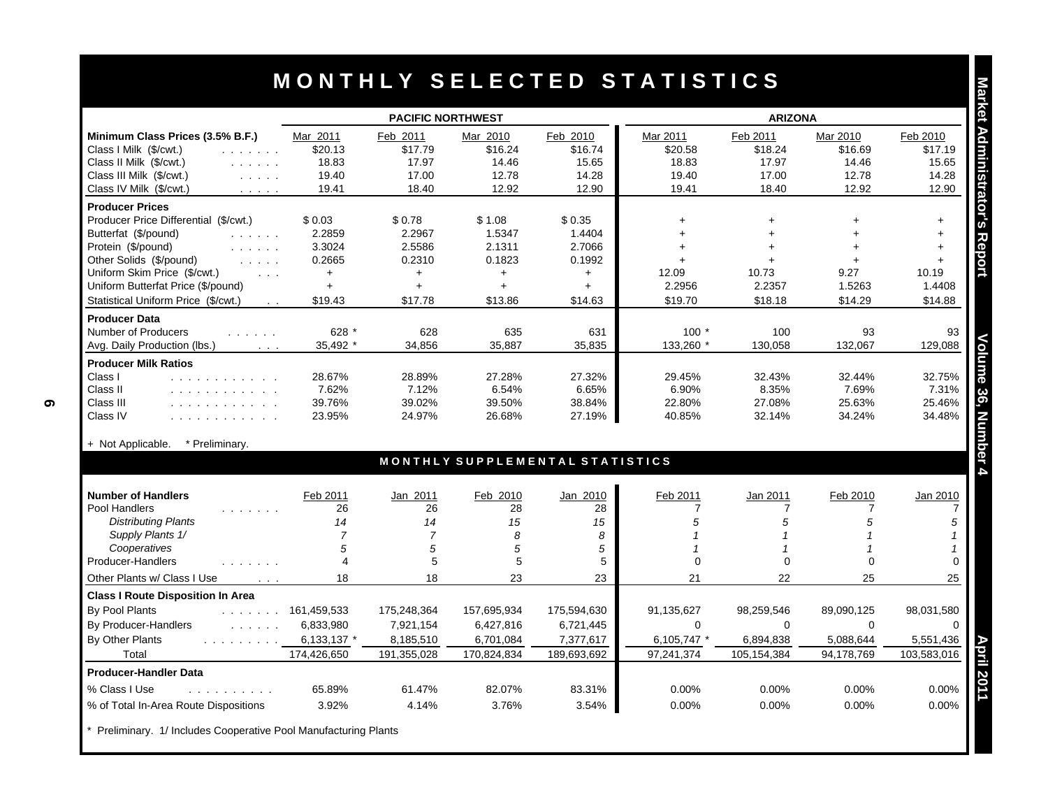|                                                                                                                                                  | <b>PACIFIC NORTHWEST</b> |                  |                                 |                  | <b>ARIZONA</b>   |                  |                  |                 |
|--------------------------------------------------------------------------------------------------------------------------------------------------|--------------------------|------------------|---------------------------------|------------------|------------------|------------------|------------------|-----------------|
| Minimum Class Prices (3.5% B.F.)                                                                                                                 | Mar 2011                 | Feb 2011         | Mar 2010                        | Feb 2010         | Mar 2011         | Feb 2011         | Mar 2010         | Feb 2010        |
| Class I Milk (\$/cwt.)<br>and a strain and                                                                                                       | \$20.13                  | \$17.79          | \$16.24                         | \$16.74          | \$20.58          | \$18.24          | \$16.69          | \$17.19         |
| Class II Milk (\$/cwt.)<br>and the state of                                                                                                      | 18.83                    | 17.97            | 14.46                           | 15.65            | 18.83            | 17.97            | 14.46            | 15.65           |
| Class III Milk (\$/cwt.)<br>$\mathcal{L}^{\mathcal{A}}$ and $\mathcal{L}^{\mathcal{A}}$ and $\mathcal{L}^{\mathcal{A}}$                          | 19.40                    | 17.00            | 12.78                           | 14.28            | 19.40            | 17.00            | 12.78            | 14.28           |
| Class IV Milk (\$/cwt.)<br>$\mathcal{L}^{\mathcal{A}}$ , $\mathcal{L}^{\mathcal{A}}$ , $\mathcal{L}^{\mathcal{A}}$ , $\mathcal{L}^{\mathcal{A}}$ | 19.41                    | 18.40            | 12.92                           | 12.90            | 19.41            | 18.40            | 12.92            | 12.90           |
| <b>Producer Prices</b>                                                                                                                           |                          |                  |                                 |                  |                  |                  |                  |                 |
| Producer Price Differential (\$/cwt.)                                                                                                            | \$0.03                   | \$0.78           | \$1.08                          | \$0.35           | $+$              | $+$              | $+$              | $+$             |
| Butterfat (\$/pound)<br>and the state                                                                                                            | 2.2859                   | 2.2967           | 1.5347                          | 1.4404           | $\ddot{}$        | $\ddotmark$      | $\ddot{}$        | $+$             |
| Protein (\$/pound)<br>and a state of                                                                                                             | 3.3024                   | 2.5586           | 2.1311                          | 2.7066           | $+$              | $+$              | $+$              | $+$             |
| Other Solids (\$/pound)<br>$\sim$ 100 $\sim$ 100 $\sim$                                                                                          | 0.2665                   | 0.2310           | 0.1823                          | 0.1992           | $+$              | $\ddot{}$        | $+$              | $\ddot{}$       |
| Uniform Skim Price (\$/cwt.)<br>$\sim 100$ km $^{-1}$                                                                                            | $+$                      | $+$              | $+$                             | $+$              | 12.09            | 10.73            | 9.27             | 10.19           |
| Uniform Butterfat Price (\$/pound)                                                                                                               | $\ddot{\phantom{1}}$     | $\ddot{+}$       | $\ddotmark$                     | $+$              | 2.2956           | 2.2357           | 1.5263           | 1.4408          |
| Statistical Uniform Price (\$/cwt.)<br>$\sim$ $\sim$                                                                                             | \$19.43                  | \$17.78          | \$13.86                         | \$14.63          | \$19.70          | \$18.18          | \$14.29          | \$14.88         |
| <b>Producer Data</b>                                                                                                                             |                          |                  |                                 |                  |                  |                  |                  |                 |
| Number of Producers                                                                                                                              | 628 $*$                  | 628              | 635                             | 631              | $100 *$          | 100              | 93               | 93              |
| Avg. Daily Production (lbs.)<br>$\cdot$ $\cdot$ $\cdot$                                                                                          | 35.492 *                 | 34.856           | 35.887                          | 35.835           | 133.260 *        | 130.058          | 132.067          | 129,088         |
| <b>Producer Milk Ratios</b>                                                                                                                      |                          |                  |                                 |                  |                  |                  |                  |                 |
| Class I<br>.                                                                                                                                     | 28.67%                   | 28.89%           | 27.28%                          | 27.32%           | 29.45%           | 32.43%           | 32.44%           | 32.75%          |
| Class II<br>.                                                                                                                                    | 7.62%                    | 7.12%            | 6.54%                           | 6.65%            | 6.90%            | 8.35%            | 7.69%            | 7.31%<br>25.46% |
| Class III<br>.<br>Class IV                                                                                                                       | 39.76%<br>23.95%         | 39.02%<br>24.97% | 39.50%<br>26.68%                | 38.84%<br>27.19% | 22.80%<br>40.85% | 27.08%<br>32.14% | 25.63%<br>34.24% | 34.48%          |
| .                                                                                                                                                |                          |                  |                                 |                  |                  |                  |                  |                 |
| * Preliminary.<br>+ Not Applicable.                                                                                                              |                          |                  |                                 |                  |                  |                  |                  |                 |
|                                                                                                                                                  |                          |                  | MONTHLY SUPPLEMENTAL STATISTICS |                  |                  |                  |                  |                 |
| <b>Number of Handlers</b>                                                                                                                        | Feb 2011                 | Jan 2011         | Feb 2010                        | Jan 2010         | Feb 2011         | Jan 2011         | Feb 2010         | Jan 2010        |
| Pool Handlers<br>.                                                                                                                               | 26                       | 26               | 28                              | 28               | 7                | 7                | 7                |                 |
| <b>Distributing Plants</b>                                                                                                                       | 14                       | 14               | 15                              | 15               | 5                | 5                | 5                |                 |
| Supply Plants 1/                                                                                                                                 | $\overline{7}$           | $\overline{7}$   | 8                               | 8                |                  | $\mathbf{1}$     |                  |                 |
| Cooperatives                                                                                                                                     | 5                        | 5                | 5                               | 5                | 1                | $\mathbf 1$      |                  |                 |
| Producer-Handlers<br>and a strain and                                                                                                            | $\Delta$                 | 5                | 5                               | 5                | $\Omega$         | $\Omega$         | $\mathbf 0$      |                 |
| Other Plants w/ Class I Use<br>$\cdot$ $\cdot$ $\cdot$                                                                                           | 18                       | 18               | 23                              | 23               | 21               | 22               | 25               | 25              |
| <b>Class I Route Disposition In Area</b>                                                                                                         |                          |                  |                                 |                  |                  |                  |                  |                 |
| By Pool Plants                                                                                                                                   | 161,459,533              | 175,248,364      | 157,695,934                     | 175,594,630      | 91,135,627       | 98,259,546       | 89,090,125       | 98,031,580      |
| By Producer-Handlers                                                                                                                             | 6,833,980                | 7,921,154        | 6,427,816                       | 6,721,445        | $\Omega$         | $\Omega$         | $\Omega$         |                 |
| By Other Plants<br>and a straight and con-                                                                                                       | 6,133,137 *              | 8,185,510        | 6,701,084                       | 7,377,617        | 6,105,747 *      | 6,894,838        | 5,088,644        | 5,551,436       |
| Total                                                                                                                                            | 174.426.650              | 191,355,028      | 170,824,834                     | 189.693.692      | 97.241.374       | 105,154,384      | 94.178.769       | 103.583.016     |
| <b>Producer-Handler Data</b>                                                                                                                     |                          |                  |                                 |                  |                  |                  |                  |                 |
| % Class I Use<br>.                                                                                                                               | 65.89%                   | 61.47%           | 82.07%                          | 83.31%           | $0.00\%$         | 0.00%            | $0.00\%$         | 0.00%           |
| % of Total In-Area Route Dispositions                                                                                                            | 3.92%                    | 4.14%            | 3.76%                           | 3.54%            | 0.00%            | 0.00%            | 0.00%            | 0.00%           |
|                                                                                                                                                  |                          |                  |                                 |                  |                  |                  |                  |                 |

Preliminary. 1/ Includes Cooperative Pool Manufacturing Plants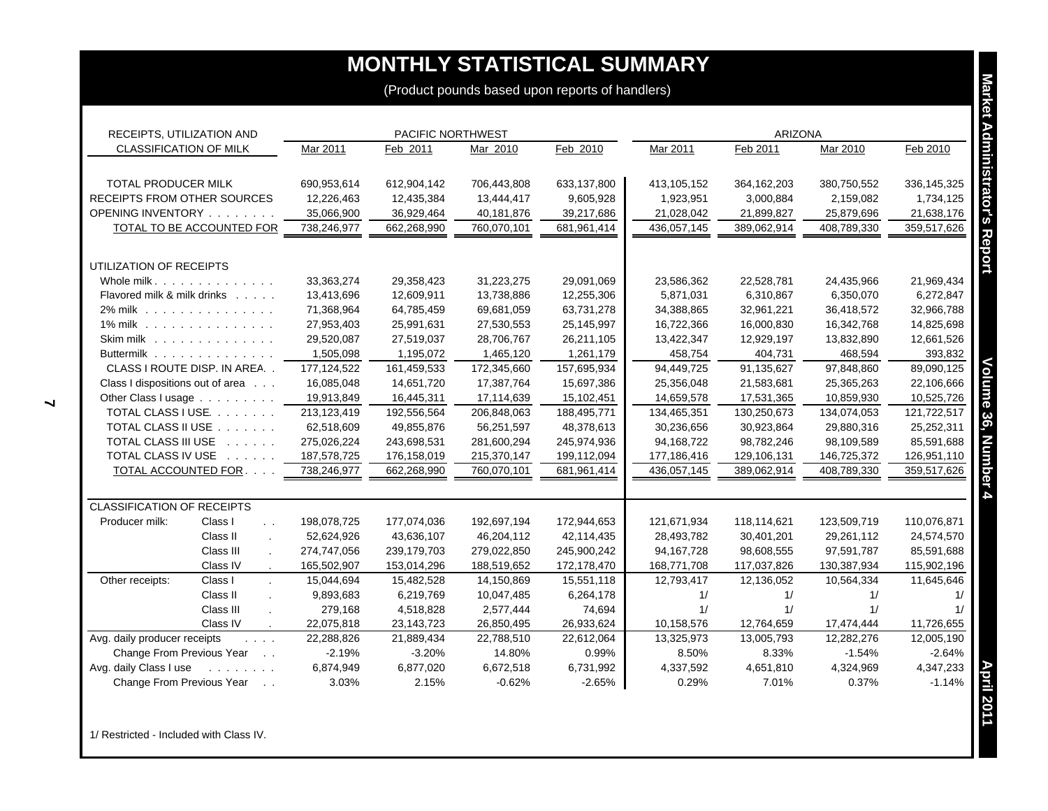| RECEIPTS, UTILIZATION AND                                                                                               | PACIFIC NORTHWEST          |                            |                            |                            |                             | <b>ARIZONA</b>            |                           |                           |
|-------------------------------------------------------------------------------------------------------------------------|----------------------------|----------------------------|----------------------------|----------------------------|-----------------------------|---------------------------|---------------------------|---------------------------|
| CLASSIFICATION OF MILK                                                                                                  | Mar 2011                   | Feb 2011                   | Mar 2010                   | Feb 2010                   | Mar 2011                    | Feb 2011                  | Mar 2010                  | Feb 2010                  |
| TOTAL PRODUCER MILK                                                                                                     | 690,953,614                | 612,904,142                | 706,443,808                | 633,137,800                | 413,105,152                 | 364, 162, 203             | 380,750,552               | 336,145,325               |
| RECEIPTS FROM OTHER SOURCES                                                                                             | 12,226,463                 | 12,435,384                 | 13,444,417                 | 9,605,928                  | 1,923,951                   | 3,000,884                 | 2,159,082                 | 1,734,125                 |
| OPENING INVENTORY                                                                                                       | 35,066,900                 | 36,929,464                 | 40,181,876                 | 39,217,686                 | 21,028,042                  | 21,899,827                | 25,879,696                | 21,638,176                |
| <b>TOTAL TO BE ACCOUNTED FOR</b>                                                                                        | 738,246,977                | 662,268,990                | 760,070,101                | 681,961,414                | 436,057,145                 | 389,062,914               | 408,789,330               | 359,517,626               |
|                                                                                                                         |                            |                            |                            |                            |                             |                           |                           |                           |
| UTILIZATION OF RECEIPTS                                                                                                 |                            |                            |                            |                            |                             |                           |                           |                           |
| Whole milk<br>Flavored milk & milk drinks                                                                               | 33,363,274<br>13,413,696   | 29,358,423                 | 31,223,275<br>13,738,886   | 29,091,069                 | 23,586,362<br>5,871,031     | 22,528,781                | 24,435,966<br>6,350,070   | 21,969,434<br>6,272,847   |
| 2% milk                                                                                                                 | 71,368,964                 | 12,609,911<br>64,785,459   | 69,681,059                 | 12,255,306<br>63,731,278   | 34,388,865                  | 6,310,867<br>32,961,221   | 36,418,572                | 32,966,788                |
| 1% milk                                                                                                                 | 27,953,403                 | 25,991,631                 | 27,530,553                 | 25,145,997                 | 16,722,366                  | 16,000,830                | 16,342,768                | 14,825,698                |
| Skim milk $\ldots$                                                                                                      | 29,520,087                 | 27,519,037                 | 28,706,767                 | 26,211,105                 | 13,422,347                  | 12,929,197                | 13,832,890                | 12,661,526                |
| Buttermilk                                                                                                              | 1,505,098                  | 1,195,072                  | 1,465,120                  | 1,261,179                  | 458,754                     | 404,731                   | 468,594                   | 393,832                   |
| CLASS I ROUTE DISP. IN AREA                                                                                             | 177, 124, 522              | 161,459,533                | 172,345,660                | 157,695,934                | 94,449,725                  | 91,135,627                | 97,848,860                | 89,090,125                |
| Class I dispositions out of area                                                                                        | 16,085,048                 | 14,651,720                 | 17,387,764                 | 15,697,386                 | 25,356,048                  | 21,583,681                | 25,365,263                | 22,106,666                |
| Other Class I usage                                                                                                     | 19,913,849                 | 16,445,311                 | 17,114,639                 | 15,102,451                 | 14,659,578                  | 17,531,365                | 10,859,930                | 10,525,726                |
| TOTAL CLASS I USE.                                                                                                      | 213,123,419                | 192,556,564                | 206,848,063                | 188,495,771                | 134,465,351                 | 130,250,673               | 134,074,053               | 121,722,517               |
| TOTAL CLASS II USE                                                                                                      | 62,518,609                 | 49,855,876                 | 56,251,597                 | 48,378,613                 | 30,236,656                  | 30,923,864                | 29,880,316                | 25,252,311                |
| TOTAL CLASS III USE                                                                                                     | 275,026,224                | 243,698,531                | 281,600,294                | 245,974,936                | 94,168,722                  | 98,782,246                | 98,109,589                | 85,591,688                |
| TOTAL CLASS IV USE                                                                                                      | 187,578,725                | 176,158,019                | 215,370,147                | 199,112,094                | 177,186,416                 | 129,106,131               | 146,725,372               | 126,951,110               |
| TOTAL ACCOUNTED FOR                                                                                                     | 738,246,977                | 662,268,990                | 760,070,101                | 681,961,414                | 436,057,145                 | 389,062,914               | 408,789,330               | 359,517,626               |
|                                                                                                                         |                            |                            |                            |                            |                             |                           |                           |                           |
| <b>CLASSIFICATION OF RECEIPTS</b>                                                                                       |                            |                            |                            |                            |                             |                           |                           |                           |
| Producer milk:<br>Class I<br>$\mathbf{r}$<br>Class II                                                                   | 198,078,725                | 177,074,036                | 192,697,194                | 172,944,653                | 121,671,934                 | 118,114,621               | 123,509,719               | 110,076,871               |
| $\mathcal{L}$<br>Class III                                                                                              | 52,624,926                 | 43,636,107                 | 46,204,112                 | 42,114,435                 | 28,493,782                  | 30,401,201                | 29,261,112                | 24,574,570                |
| Class IV                                                                                                                | 274,747,056<br>165,502,907 | 239,179,703<br>153,014,296 | 279,022,850<br>188,519,652 | 245,900,242<br>172,178,470 | 94, 167, 728<br>168,771,708 | 98,608,555<br>117,037,826 | 97,591,787<br>130,387,934 | 85,591,688                |
| Other receipts:<br>Class I                                                                                              | 15,044,694                 | 15,482,528                 | 14,150,869                 | 15,551,118                 | 12,793,417                  | 12,136,052                | 10,564,334                | 115,902,196<br>11,645,646 |
| Class II<br>$\mathbf{r}$                                                                                                | 9,893,683                  | 6,219,769                  | 10,047,485                 | 6,264,178                  | 1/                          | 1/                        | 1/                        | 1/                        |
| Class III                                                                                                               | 279,168                    | 4,518,828                  | 2,577,444                  | 74,694                     | 1/                          | 1/                        | 1/                        | 1/                        |
| Class IV<br>$\sim$                                                                                                      | 22,075,818                 | 23,143,723                 | 26,850,495                 | 26,933,624                 | 10,158,576                  | 12,764,659                | 17,474,444                | 11,726,655                |
| Avg. daily producer receipts<br>$\mathcal{L}^{\mathcal{L}}$ , $\mathcal{L}^{\mathcal{L}}$ , $\mathcal{L}^{\mathcal{L}}$ | 22,288,826                 | 21,889,434                 | 22,788,510                 | 22,612,064                 | 13,325,973                  | 13,005,793                | 12,282,276                | 12,005,190                |
| Change From Previous Year                                                                                               | $-2.19%$                   | $-3.20%$                   | 14.80%                     | 0.99%                      | 8.50%                       | 8.33%                     | $-1.54%$                  | $-2.64%$                  |
| Avg. daily Class I use<br>and a straight and                                                                            | 6,874,949                  | 6,877,020                  | 6,672,518                  | 6,731,992                  | 4,337,592                   | 4,651,810                 | 4,324,969                 | 4,347,233                 |
| Change From Previous Year                                                                                               | 3.03%                      | 2.15%                      | $-0.62%$                   | $-2.65%$                   | 0.29%                       | 7.01%                     | 0.37%                     | $-1.14%$                  |

1/ Restricted - Included with Class IV.